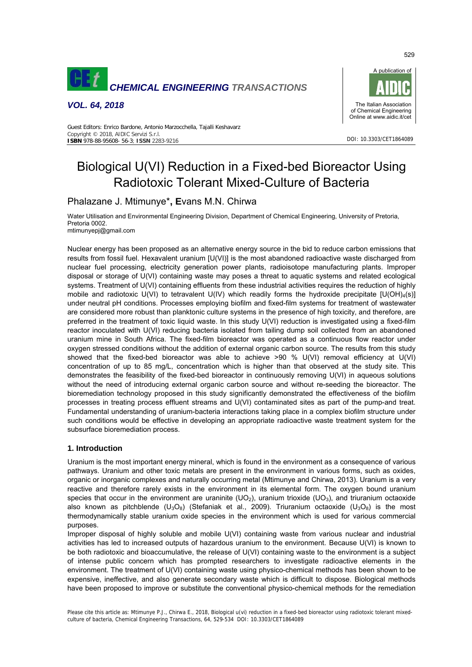

*VOL. 64, 2018* 



DOI: 10.3303/CET1864089

#### Guest Editors: Enrico Bardone, Antonio Marzocchella, Tajalli Keshavarz Copyright © 2018, AIDIC Servizi S.r.l. **ISBN** 978-88-95608- 56-3; **ISSN** 2283-9216

# Biological U(VI) Reduction in a Fixed-bed Bioreactor Using Radiotoxic Tolerant Mixed-Culture of Bacteria

# Phalazane J. Mtimunye\***, E**vans M.N. Chirwa

Water Utilisation and Environmental Engineering Division, Department of Chemical Engineering, University of Pretoria, Pretoria 0002. mtimunyepj@gmail.com

Nuclear energy has been proposed as an alternative energy source in the bid to reduce carbon emissions that results from fossil fuel. Hexavalent uranium [U(VI)] is the most abandoned radioactive waste discharged from nuclear fuel processing, electricity generation power plants, radioisotope manufacturing plants. Improper disposal or storage of U(VI) containing waste may poses a threat to aquatic systems and related ecological systems. Treatment of U(VI) containing effluents from these industrial activities requires the reduction of highly mobile and radiotoxic U(VI) to tetravalent U(IV) which readily forms the hydroxide precipitate  $[U(OH)_4(s)]$ under neutral pH conditions. Processes employing biofilm and fixed-film systems for treatment of wastewater are considered more robust than planktonic culture systems in the presence of high toxicity, and therefore, are preferred in the treatment of toxic liquid waste. In this study U(VI) reduction is investigated using a fixed-film reactor inoculated with U(VI) reducing bacteria isolated from tailing dump soil collected from an abandoned uranium mine in South Africa. The fixed-film bioreactor was operated as a continuous flow reactor under oxygen stressed conditions without the addition of external organic carbon source. The results from this study showed that the fixed-bed bioreactor was able to achieve >90 % U(VI) removal efficiency at U(VI) concentration of up to 85 mg/L, concentration which is higher than that observed at the study site. This demonstrates the feasibility of the fixed-bed bioreactor in continuously removing U(VI) in aqueous solutions without the need of introducing external organic carbon source and without re-seeding the bioreactor. The bioremediation technology proposed in this study significantly demonstrated the effectiveness of the biofilm processes in treating process effluent streams and U(VI) contaminated sites as part of the pump-and treat. Fundamental understanding of uranium-bacteria interactions taking place in a complex biofilm structure under such conditions would be effective in developing an appropriate radioactive waste treatment system for the subsurface bioremediation process.

# **1. Introduction**

Uranium is the most important energy mineral, which is found in the environment as a consequence of various pathways. Uranium and other toxic metals are present in the environment in various forms, such as oxides, organic or inorganic complexes and naturally occurring metal (Mtimunye and Chirwa, 2013). Uranium is a very reactive and therefore rarely exists in the environment in its elemental form. The oxygen bound uranium species that occur in the environment are uraninite  $(UO_2)$ , uranium trioxide  $(UO_3)$ , and triuranium octaoxide also known as pitchblende (U<sub>3</sub>O<sub>8</sub>) (Stefaniak et al., 2009). Triuranium octaoxide (U<sub>3</sub>O<sub>8</sub>) is the most thermodynamically stable uranium oxide species in the environment which is used for various commercial purposes.

Improper disposal of highly soluble and mobile U(VI) containing waste from various nuclear and industrial activities has led to increased outputs of hazardous uranium to the environment. Because U(VI) is known to be both radiotoxic and bioaccumulative, the release of U(VI) containing waste to the environment is a subject of intense public concern which has prompted researchers to investigate radioactive elements in the environment. The treatment of U(VI) containing waste using physico-chemical methods has been shown to be expensive, ineffective, and also generate secondary waste which is difficult to dispose. Biological methods have been proposed to improve or substitute the conventional physico-chemical methods for the remediation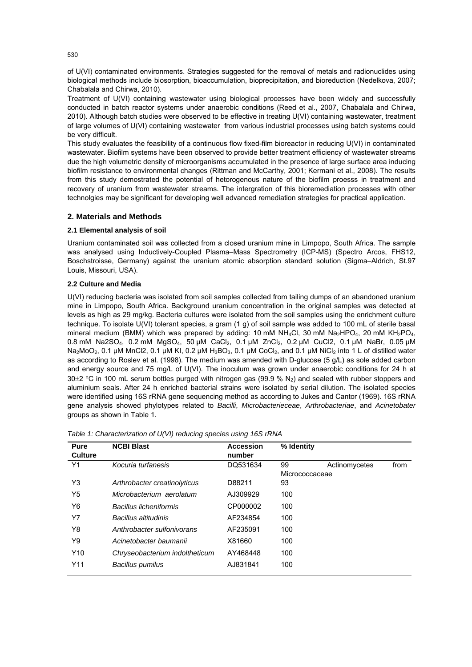of U(VI) contaminated environments. Strategies suggested for the removal of metals and radionuclides using biological methods include biosorption, bioaccumulation, bioprecipitation, and bioreduction (Nedelkova, 2007; Chabalala and Chirwa, 2010).

Treatment of U(VI) containing wastewater using biological processes have been widely and successfully conducted in batch reactor systems under anaerobic conditions (Reed et al., 2007, Chabalala and Chirwa, 2010). Although batch studies were observed to be effective in treating U(VI) containing wastewater, treatment of large volumes of U(VI) containing wastewater from various industrial processes using batch systems could be very difficult.

This study evaluates the feasibility of a continuous flow fixed-film bioreactor in reducing U(VI) in contaminated wastewater. Biofilm systems have been observed to provide better treatment efficiency of wastewater streams due the high volumetric density of microorganisms accumulated in the presence of large surface area inducing biofilm resistance to environmental changes (Rittman and McCarthy, 2001; Kermani et al., 2008). The results from this study demostrated the potential of hetorogenous nature of the biofilm proesss in treatment and recovery of uranium from wastewater streams. The intergration of this bioremediation processes with other technolgies may be significant for developing well advanced remediation strategies for practical application.

# **2. Materials and Methods**

#### **2.1 Elemental analysis of soil**

Uranium contaminated soil was collected from a closed uranium mine in Limpopo, South Africa. The sample was analysed using Inductively-Coupled Plasma–Mass Spectrometry (ICP-MS) (Spectro Arcos, FHS12, Boschstroisse, Germany) against the uranium atomic absorption standard solution (Sigma–Aldrich, St.97 Louis, Missouri, USA).

### **2.2 Culture and Media**

U(VI) reducing bacteria was isolated from soil samples collected from tailing dumps of an abandoned uranium mine in Limpopo, South Africa. Background uranium concentration in the original samples was detected at levels as high as 29 mg/kg. Bacteria cultures were isolated from the soil samples using the enrichment culture technique. To isolate U(VI) tolerant species, a gram (1 g) of soil sample was added to 100 mL of sterile basal mineral medium (BMM) which was prepared by adding: 10 mM NH<sub>4</sub>Cl, 30 mM Na<sub>2</sub>HPO<sub>4</sub>, 20 mM KH<sub>2</sub>PO<sub>4</sub>, 0.8 mM Na2SO4, 0.2 mM MgSO4, 50 µM CaCl2, 0.1 µM ZnCl2, 0.2 µM CuCl2, 0.1 µM NaBr, 0.05 µM Na<sub>2</sub>MoO<sub>2</sub>, 0.1 µM MnCl2, 0.1 µM KI, 0.2 µM H<sub>3</sub>BO<sub>3</sub>, 0.1 µM CoCl<sub>2</sub>, and 0.1 µM NiCl<sub>2</sub> into 1 L of distilled water as according to Roslev et al. (1998). The medium was amended with D-glucose (5 g/L) as sole added carbon and energy source and 75 mg/L of U(VI). The inoculum was grown under anaerobic conditions for 24 h at 30 $\pm$ 2 °C in 100 mL serum bottles purged with nitrogen gas (99.9 % N<sub>2</sub>) and sealed with rubber stoppers and aluminium seals. After 24 h enriched bacterial strains were isolated by serial dilution. The isolated species were identified using 16S rRNA gene sequencing method as according to Jukes and Cantor (1969). 16S rRNA gene analysis showed phylotypes related to *Bacilli*, *Microbacterieceae*, *Arthrobacteriae*, and *Acinetobater* groups as shown in Table 1.

| Pure            | <b>NCBI Blast</b>              | <b>Accession</b> | % Identity     |               |      |
|-----------------|--------------------------------|------------------|----------------|---------------|------|
| <b>Culture</b>  |                                | number           |                |               |      |
| Y1              | Kocuria turfanesis             | DQ531634         | 99             | Actinomycetes | from |
|                 |                                |                  | Micrococcaceae |               |      |
| Y3              | Arthrobacter creatinolyticus   | D88211           | 93             |               |      |
| Y5              | Microbacterium aerolatum       | AJ309929         | 100            |               |      |
| Y6              | <b>Bacillus licheniformis</b>  | CP000002         | 100            |               |      |
| Υ7              | Bacillus altitudinis           | AF234854         | 100            |               |      |
| Y8              | Anthrobacter sulfonivorans     | AF235091         | 100            |               |      |
| Y9              | Acinetobacter baumanii         | X81660           | 100            |               |      |
| Y <sub>10</sub> | Chryseobacterium indoltheticum | AY468448         | 100            |               |      |
| Y11             | Bacillus pumilus               | AJ831841         | 100            |               |      |

| Table 1: Characterization of U(VI) reducing species using 16S rRNA |  |  |  |
|--------------------------------------------------------------------|--|--|--|
|                                                                    |  |  |  |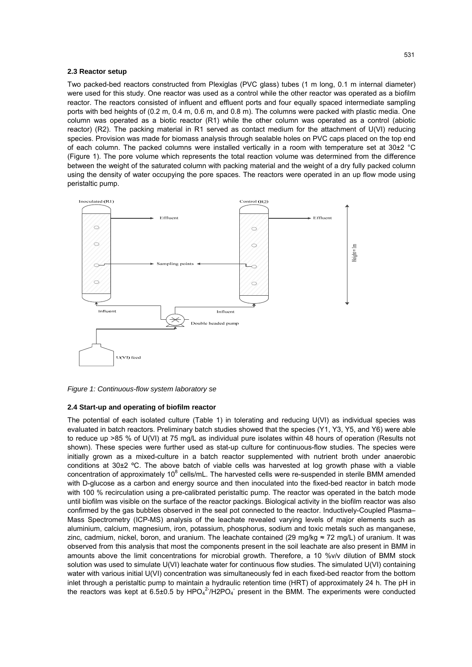#### **2.3 Reactor setup**

Two packed-bed reactors constructed from Plexiglas (PVC glass) tubes (1 m long, 0.1 m internal diameter) were used for this study. One reactor was used as a control while the other reactor was operated as a biofilm reactor. The reactors consisted of influent and effluent ports and four equally spaced intermediate sampling ports with bed heights of (0.2 m, 0.4 m, 0.6 m, and 0.8 m). The columns were packed with plastic media. One column was operated as a biotic reactor (R1) while the other column was operated as a control (abiotic reactor) (R2). The packing material in R1 served as contact medium for the attachment of U(VI) reducing species. Provision was made for biomass analysis through sealable holes on PVC caps placed on the top end of each column. The packed columns were installed vertically in a room with temperature set at 30±2 °C (Figure 1). The pore volume which represents the total reaction volume was determined from the difference between the weight of the saturated column with packing material and the weight of a dry fully packed column using the density of water occupying the pore spaces. The reactors were operated in an up flow mode using peristaltic pump.



*Figure 1: Continuous-flow system laboratory se* 

#### **2.4 Start-up and operating of biofilm reactor**

The potential of each isolated culture (Table 1) in tolerating and reducing U(VI) as individual species was evaluated in batch reactors. Preliminary batch studies showed that the species (Y1, Y3, Y5, and Y6) were able to reduce up >85 % of U(VI) at 75 mg/L as individual pure isolates within 48 hours of operation (Results not shown). These species were further used as stat-up culture for continuous-flow studies. The species were initially grown as a mixed-culture in a batch reactor supplemented with nutrient broth under anaerobic conditions at 30±2 ºC. The above batch of viable cells was harvested at log growth phase with a viable concentration of approximately 10<sup>8</sup> cells/mL. The harvested cells were re-suspended in sterile BMM amended with D-glucose as a carbon and energy source and then inoculated into the fixed-bed reactor in batch mode with 100 % recirculation using a pre-calibrated peristaltic pump. The reactor was operated in the batch mode until biofilm was visible on the surface of the reactor packings. Biological activity in the biofilm reactor was also confirmed by the gas bubbles observed in the seal pot connected to the reactor. Inductively-Coupled Plasma– Mass Spectrometry (ICP-MS) analysis of the leachate revealed varying levels of major elements such as aluminium, calcium, magnesium, iron, potassium, phosphorus, sodium and toxic metals such as manganese, zinc, cadmium, nickel, boron, and uranium. The leachate contained (29 mg/kg ≈ 72 mg/L) of uranium. It was observed from this analysis that most the components present in the soil leachate are also present in BMM in amounts above the limit concentrations for microbial growth. Therefore, a 10 %v/v dilution of BMM stock solution was used to simulate U(VI) leachate water for continuous flow studies. The simulated U(VI) containing water with various initial U(VI) concentration was simultaneously fed in each fixed-bed reactor from the bottom inlet through a peristaltic pump to maintain a hydraulic retention time (HRT) of approximately 24 h. The pH in the reactors was kept at 6.5 $\pm$ 0.5 by HPO $_4$ <sup>2-</sup>/H2PO<sub>4</sub><sup>-</sup> present in the BMM. The experiments were conducted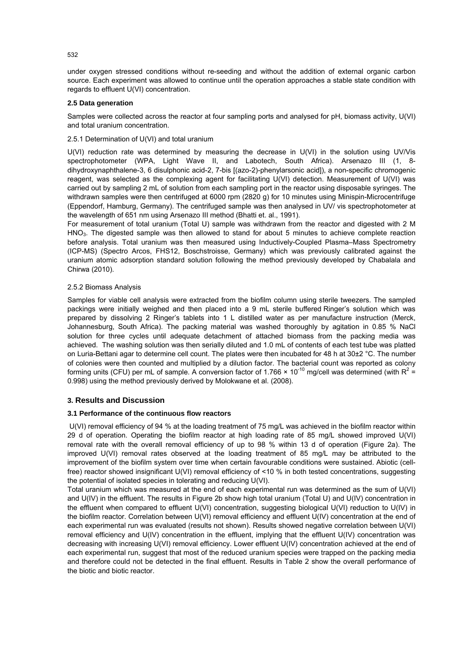under oxygen stressed conditions without re-seeding and without the addition of external organic carbon source. Each experiment was allowed to continue until the operation approaches a stable state condition with regards to effluent U(VI) concentration.

#### **2.5 Data generation**

Samples were collected across the reactor at four sampling ports and analysed for pH, biomass activity, U(VI) and total uranium concentration.

## 2.5.1 Determination of U(VI) and total uranium

U(VI) reduction rate was determined by measuring the decrease in U(VI) in the solution using UV/Vis spectrophotometer (WPA, Light Wave II, and Labotech, South Africa). Arsenazo III (1, 8dihydroxynaphthalene-3, 6 disulphonic acid-2, 7-bis [(azo-2)-phenylarsonic acid]), a non-specific chromogenic reagent, was selected as the complexing agent for facilitating U(VI) detection. Measurement of U(VI) was carried out by sampling 2 mL of solution from each sampling port in the reactor using disposable syringes. The withdrawn samples were then centrifuged at 6000 rpm (2820 g) for 10 minutes using Minispin-Microcentrifuge (Eppendorf, Hamburg, Germany). The centrifuged sample was then analysed in UV/ vis spectrophotometer at the wavelength of 651 nm using Arsenazo III method (Bhatti et. al., 1991).

For measurement of total uranium (Total U) sample was withdrawn from the reactor and digested with 2 M HNO3. The digested sample was then allowed to stand for about 5 minutes to achieve complete reaction before analysis. Total uranium was then measured using Inductively-Coupled Plasma–Mass Spectrometry (ICP-MS) (Spectro Arcos, FHS12, Boschstroisse, Germany) which was previously calibrated against the uranium atomic adsorption standard solution following the method previously developed by Chabalala and Chirwa (2010).

#### 2.5.2 Biomass Analysis

Samples for viable cell analysis were extracted from the biofilm column using sterile tweezers. The sampled packings were initially weighed and then placed into a 9 mL sterile buffered Ringer's solution which was prepared by dissolving 2 Ringer's tablets into 1 L distilled water as per manufacture instruction (Merck, Johannesburg, South Africa). The packing material was washed thoroughly by agitation in 0.85 % NaCl solution for three cycles until adequate detachment of attached biomass from the packing media was achieved. The washing solution was then serially diluted and 1.0 mL of contents of each test tube was platted on Luria-Bettani agar to determine cell count. The plates were then incubated for 48 h at 30±2 °C. The number of colonies were then counted and multiplied by a dilution factor. The bacterial count was reported as colony forming units (CFU) per mL of sample. A conversion factor of 1.766  $\times$  10<sup>-10</sup> mg/cell was determined (with R<sup>2</sup> = 0.998) using the method previously derived by Molokwane et al. (2008).

# **3. Results and Discussion**

#### **3.1 Performance of the continuous flow reactors**

U(VI) removal efficiency of 94 % at the loading treatment of 75 mg/L was achieved in the biofilm reactor within 29 d of operation. Operating the biofilm reactor at high loading rate of 85 mg/L showed improved U(VI) removal rate with the overall removal efficiency of up to 98 % within 13 d of operation (Figure 2a). The improved U(VI) removal rates observed at the loading treatment of 85 mg/L may be attributed to the improvement of the biofilm system over time when certain favourable conditions were sustained. Abiotic (cellfree) reactor showed insignificant U(VI) removal efficiency of <10 % in both tested concentrations, suggesting the potential of isolated species in tolerating and reducing U(VI).

Total uranium which was measured at the end of each experimental run was determined as the sum of U(VI) and U(IV) in the effluent. The results in Figure 2b show high total uranium (Total U) and U(IV) concentration in the effluent when compared to effluent U(VI) concentration, suggesting biological U(VI) reduction to U(IV) in the biofilm reactor. Correlation between U(VI) removal efficiency and effluent U(IV) concentration at the end of each experimental run was evaluated (results not shown). Results showed negative correlation between U(VI) removal efficiency and U(IV) concentration in the effluent, implying that the effluent U(IV) concentration was decreasing with increasing U(VI) removal efficiency. Lower effluent U(IV) concentration achieved at the end of each experimental run, suggest that most of the reduced uranium species were trapped on the packing media and therefore could not be detected in the final effluent. Results in Table 2 show the overall performance of the biotic and biotic reactor.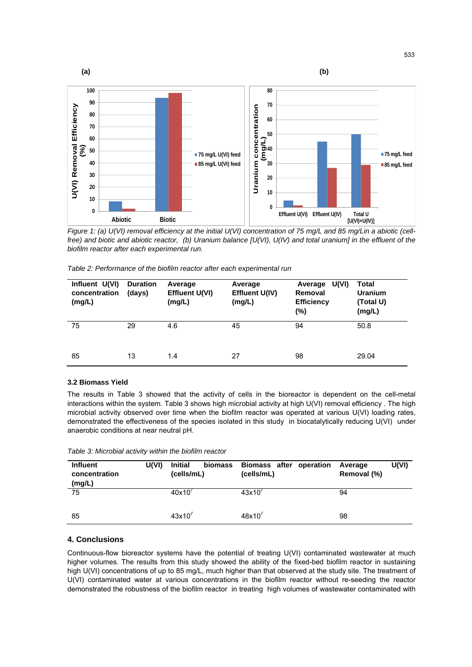

*Figure 1: (a) U(VI) removal efficiency at the initial U(VI) concentration of 75 mg/L and 85 mg/Lin a abiotic (cellfree) and biotic and abiotic reactor, (b) Uranium balance [U(VI), U(IV) and total uranium] in the effluent of the biofilm reactor after each experimental run.* 

| Table 2: Performance of the biofilm reactor after each experimental run |  |
|-------------------------------------------------------------------------|--|
|-------------------------------------------------------------------------|--|

| Influent U(VI)<br>concentration<br>(mg/L) | <b>Duration</b><br>(days) | Average<br><b>Effluent U(VI)</b><br>(mg/L) | Average<br>Effluent U(IV)<br>(mg/L) | U(VI)<br>Average<br>Removal<br><b>Efficiency</b><br>(%) | Total<br><b>Uranium</b><br>(Total U)<br>(mg/L) |
|-------------------------------------------|---------------------------|--------------------------------------------|-------------------------------------|---------------------------------------------------------|------------------------------------------------|
| 75                                        | 29                        | 4.6                                        | 45                                  | 94                                                      | 50.8                                           |
| 85                                        | 13                        | 1.4                                        | 27                                  | 98                                                      | 29.04                                          |

#### **3.2 Biomass Yield**

The results in Table 3 showed that the activity of cells in the bioreactor is dependent on the cell-metal interactions within the system. Table 3 shows high microbial activity at high U(VI) removal efficiency. The high microbial activity observed over time when the biofilm reactor was operated at various U(VI) loading rates, demonstrated the effectiveness of the species isolated in this study in biocatalytically reducing U(VI) under anaerobic conditions at near neutral pH.

| <b>Influent</b><br>concentration<br>(mg/L) | U(VI) | <b>Initial</b><br>biomass<br>(cells/mL) | Biomass after operation<br>(cells/mL) | U(VI)<br>Average<br>Removal (%) |
|--------------------------------------------|-------|-----------------------------------------|---------------------------------------|---------------------------------|
| 75                                         |       | 40x10'                                  | 43x10'                                | 94                              |
| 85                                         |       | 43x10'                                  | 48x10'                                | 98                              |

*Table 3: Microbial activity within the biofilm reactor* 

# **4. Conclusions**

Continuous-flow bioreactor systems have the potential of treating U(VI) contaminated wastewater at much higher volumes. The results from this study showed the ability of the fixed-bed biofilm reactor in sustaining high U(VI) concentrations of up to 85 mg/L, much higher than that observed at the study site. The treatment of U(VI) contaminated water at various concentrations in the biofilm reactor without re-seeding the reactor demonstrated the robustness of the biofilm reactor in treating high volumes of wastewater contaminated with